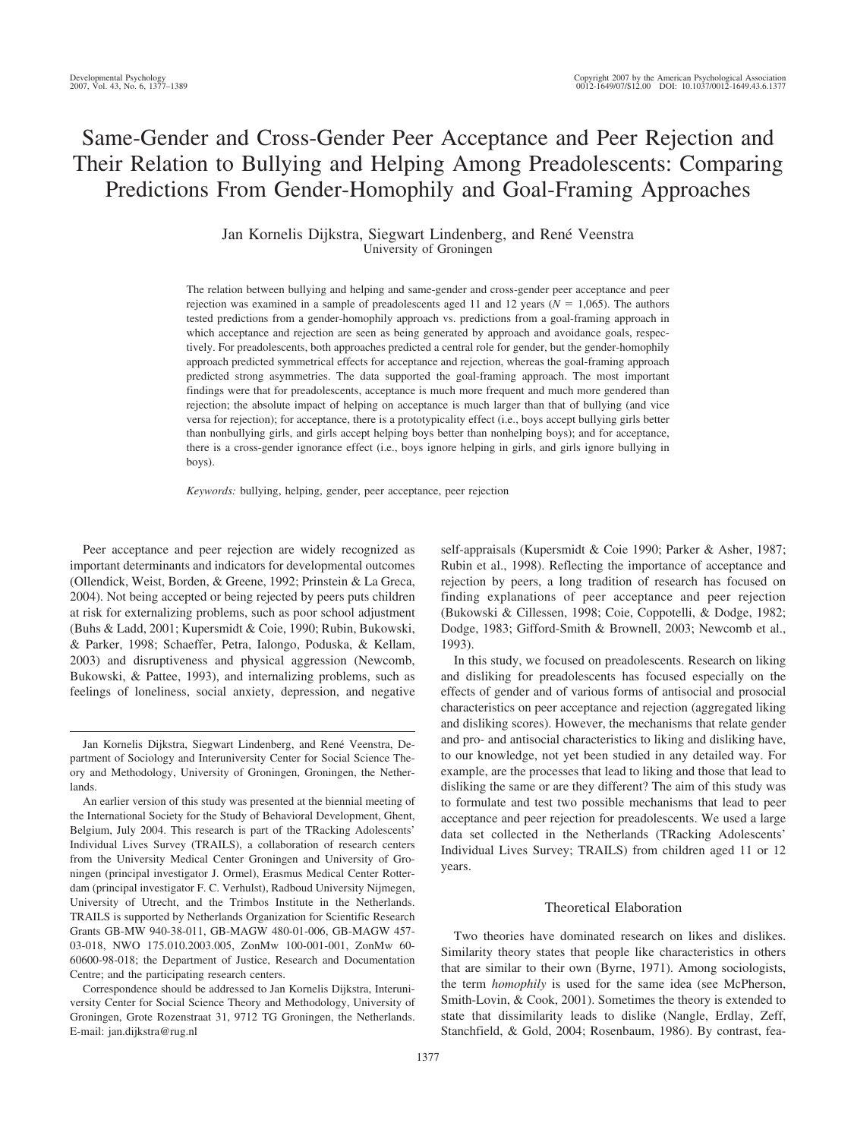# Same-Gender and Cross-Gender Peer Acceptance and Peer Rejection and Their Relation to Bullying and Helping Among Preadolescents: Comparing Predictions From Gender-Homophily and Goal-Framing Approaches

## Jan Kornelis Dijkstra, Siegwart Lindenberg, and René Veenstra University of Groningen

The relation between bullying and helping and same-gender and cross-gender peer acceptance and peer rejection was examined in a sample of preadolescents aged 11 and 12 years ( $N = 1,065$ ). The authors tested predictions from a gender-homophily approach vs. predictions from a goal-framing approach in which acceptance and rejection are seen as being generated by approach and avoidance goals, respectively. For preadolescents, both approaches predicted a central role for gender, but the gender-homophily approach predicted symmetrical effects for acceptance and rejection, whereas the goal-framing approach predicted strong asymmetries. The data supported the goal-framing approach. The most important findings were that for preadolescents, acceptance is much more frequent and much more gendered than rejection; the absolute impact of helping on acceptance is much larger than that of bullying (and vice versa for rejection); for acceptance, there is a prototypicality effect (i.e., boys accept bullying girls better than nonbullying girls, and girls accept helping boys better than nonhelping boys); and for acceptance, there is a cross-gender ignorance effect (i.e., boys ignore helping in girls, and girls ignore bullying in boys).

*Keywords:* bullying, helping, gender, peer acceptance, peer rejection

Peer acceptance and peer rejection are widely recognized as important determinants and indicators for developmental outcomes (Ollendick, Weist, Borden, & Greene, 1992; Prinstein & La Greca, 2004). Not being accepted or being rejected by peers puts children at risk for externalizing problems, such as poor school adjustment (Buhs & Ladd, 2001; Kupersmidt & Coie, 1990; Rubin, Bukowski, & Parker, 1998; Schaeffer, Petra, Ialongo, Poduska, & Kellam, 2003) and disruptiveness and physical aggression (Newcomb, Bukowski, & Pattee, 1993), and internalizing problems, such as feelings of loneliness, social anxiety, depression, and negative

Correspondence should be addressed to Jan Kornelis Dijkstra, Interuniversity Center for Social Science Theory and Methodology, University of Groningen, Grote Rozenstraat 31, 9712 TG Groningen, the Netherlands. E-mail: jan.dijkstra@rug.nl

self-appraisals (Kupersmidt & Coie 1990; Parker & Asher, 1987; Rubin et al., 1998). Reflecting the importance of acceptance and rejection by peers, a long tradition of research has focused on finding explanations of peer acceptance and peer rejection (Bukowski & Cillessen, 1998; Coie, Coppotelli, & Dodge, 1982; Dodge, 1983; Gifford-Smith & Brownell, 2003; Newcomb et al., 1993).

In this study, we focused on preadolescents. Research on liking and disliking for preadolescents has focused especially on the effects of gender and of various forms of antisocial and prosocial characteristics on peer acceptance and rejection (aggregated liking and disliking scores). However, the mechanisms that relate gender and pro- and antisocial characteristics to liking and disliking have, to our knowledge, not yet been studied in any detailed way. For example, are the processes that lead to liking and those that lead to disliking the same or are they different? The aim of this study was to formulate and test two possible mechanisms that lead to peer acceptance and peer rejection for preadolescents. We used a large data set collected in the Netherlands (TRacking Adolescents' Individual Lives Survey; TRAILS) from children aged 11 or 12 years.

## Theoretical Elaboration

Two theories have dominated research on likes and dislikes. Similarity theory states that people like characteristics in others that are similar to their own (Byrne, 1971). Among sociologists, the term *homophily* is used for the same idea (see McPherson, Smith-Lovin, & Cook, 2001). Sometimes the theory is extended to state that dissimilarity leads to dislike (Nangle, Erdlay, Zeff, Stanchfield, & Gold, 2004; Rosenbaum, 1986). By contrast, fea-

Jan Kornelis Dijkstra, Siegwart Lindenberg, and René Veenstra, Department of Sociology and Interuniversity Center for Social Science Theory and Methodology, University of Groningen, Groningen, the Netherlands.

An earlier version of this study was presented at the biennial meeting of the International Society for the Study of Behavioral Development, Ghent, Belgium, July 2004. This research is part of the TRacking Adolescents' Individual Lives Survey (TRAILS), a collaboration of research centers from the University Medical Center Groningen and University of Groningen (principal investigator J. Ormel), Erasmus Medical Center Rotterdam (principal investigator F. C. Verhulst), Radboud University Nijmegen, University of Utrecht, and the Trimbos Institute in the Netherlands. TRAILS is supported by Netherlands Organization for Scientific Research Grants GB-MW 940-38-011, GB-MAGW 480-01-006, GB-MAGW 457- 03-018, NWO 175.010.2003.005, ZonMw 100-001-001, ZonMw 60- 60600-98-018; the Department of Justice, Research and Documentation Centre; and the participating research centers.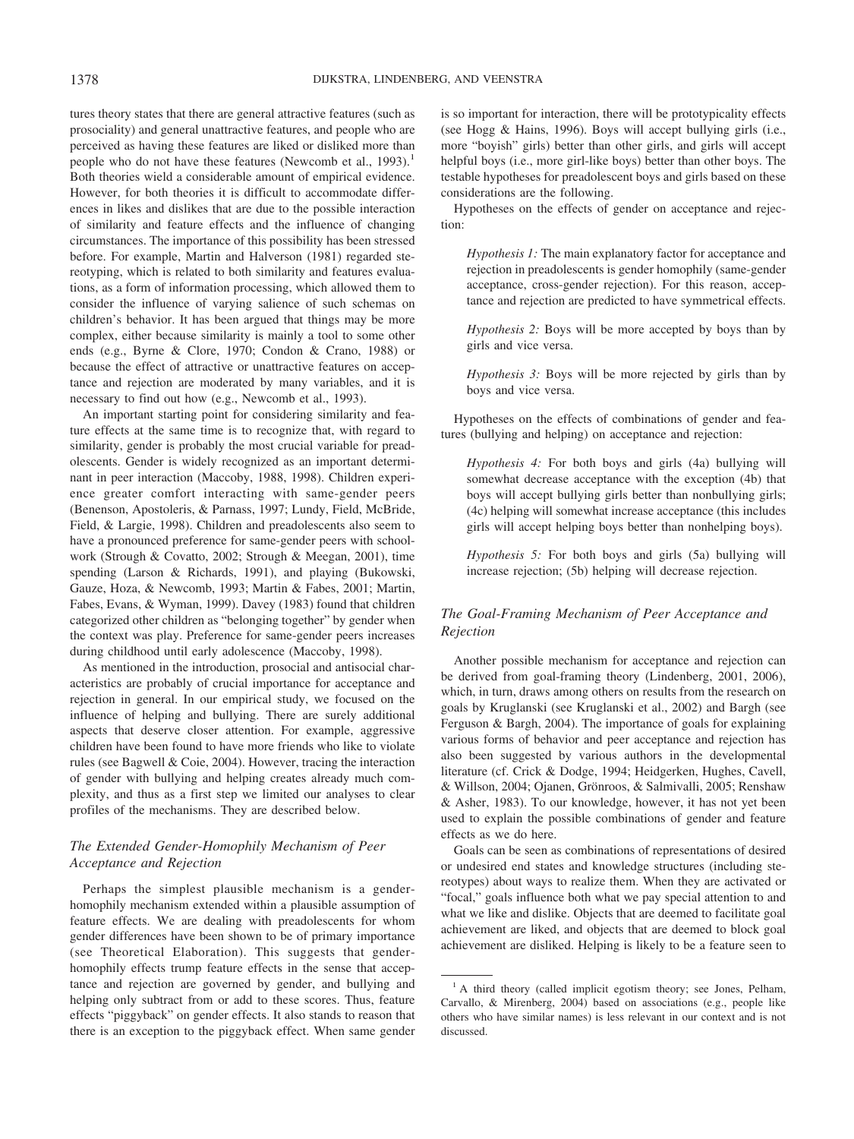tures theory states that there are general attractive features (such as prosociality) and general unattractive features, and people who are perceived as having these features are liked or disliked more than people who do not have these features (Newcomb et al.,  $1993$ ).<sup>1</sup> Both theories wield a considerable amount of empirical evidence. However, for both theories it is difficult to accommodate differences in likes and dislikes that are due to the possible interaction of similarity and feature effects and the influence of changing circumstances. The importance of this possibility has been stressed before. For example, Martin and Halverson (1981) regarded stereotyping, which is related to both similarity and features evaluations, as a form of information processing, which allowed them to consider the influence of varying salience of such schemas on children's behavior. It has been argued that things may be more complex, either because similarity is mainly a tool to some other ends (e.g., Byrne & Clore, 1970; Condon & Crano, 1988) or because the effect of attractive or unattractive features on acceptance and rejection are moderated by many variables, and it is necessary to find out how (e.g., Newcomb et al., 1993).

An important starting point for considering similarity and feature effects at the same time is to recognize that, with regard to similarity, gender is probably the most crucial variable for preadolescents. Gender is widely recognized as an important determinant in peer interaction (Maccoby, 1988, 1998). Children experience greater comfort interacting with same-gender peers (Benenson, Apostoleris, & Parnass, 1997; Lundy, Field, McBride, Field, & Largie, 1998). Children and preadolescents also seem to have a pronounced preference for same-gender peers with schoolwork (Strough & Covatto, 2002; Strough & Meegan, 2001), time spending (Larson & Richards, 1991), and playing (Bukowski, Gauze, Hoza, & Newcomb, 1993; Martin & Fabes, 2001; Martin, Fabes, Evans, & Wyman, 1999). Davey (1983) found that children categorized other children as "belonging together" by gender when the context was play. Preference for same-gender peers increases during childhood until early adolescence (Maccoby, 1998).

As mentioned in the introduction, prosocial and antisocial characteristics are probably of crucial importance for acceptance and rejection in general. In our empirical study, we focused on the influence of helping and bullying. There are surely additional aspects that deserve closer attention. For example, aggressive children have been found to have more friends who like to violate rules (see Bagwell & Coie, 2004). However, tracing the interaction of gender with bullying and helping creates already much complexity, and thus as a first step we limited our analyses to clear profiles of the mechanisms. They are described below.

## *The Extended Gender-Homophily Mechanism of Peer Acceptance and Rejection*

Perhaps the simplest plausible mechanism is a genderhomophily mechanism extended within a plausible assumption of feature effects. We are dealing with preadolescents for whom gender differences have been shown to be of primary importance (see Theoretical Elaboration). This suggests that genderhomophily effects trump feature effects in the sense that acceptance and rejection are governed by gender, and bullying and helping only subtract from or add to these scores. Thus, feature effects "piggyback" on gender effects. It also stands to reason that there is an exception to the piggyback effect. When same gender is so important for interaction, there will be prototypicality effects (see Hogg & Hains, 1996). Boys will accept bullying girls (i.e., more "boyish" girls) better than other girls, and girls will accept helpful boys (i.e., more girl-like boys) better than other boys. The testable hypotheses for preadolescent boys and girls based on these considerations are the following.

Hypotheses on the effects of gender on acceptance and rejection:

*Hypothesis 1:* The main explanatory factor for acceptance and rejection in preadolescents is gender homophily (same-gender acceptance, cross-gender rejection). For this reason, acceptance and rejection are predicted to have symmetrical effects.

*Hypothesis 2:* Boys will be more accepted by boys than by girls and vice versa.

*Hypothesis 3:* Boys will be more rejected by girls than by boys and vice versa.

Hypotheses on the effects of combinations of gender and features (bullying and helping) on acceptance and rejection:

*Hypothesis 4:* For both boys and girls (4a) bullying will somewhat decrease acceptance with the exception (4b) that boys will accept bullying girls better than nonbullying girls; (4c) helping will somewhat increase acceptance (this includes girls will accept helping boys better than nonhelping boys).

*Hypothesis 5:* For both boys and girls (5a) bullying will increase rejection; (5b) helping will decrease rejection.

## *The Goal-Framing Mechanism of Peer Acceptance and Rejection*

Another possible mechanism for acceptance and rejection can be derived from goal-framing theory (Lindenberg, 2001, 2006), which, in turn, draws among others on results from the research on goals by Kruglanski (see Kruglanski et al., 2002) and Bargh (see Ferguson & Bargh, 2004). The importance of goals for explaining various forms of behavior and peer acceptance and rejection has also been suggested by various authors in the developmental literature (cf. Crick & Dodge, 1994; Heidgerken, Hughes, Cavell, & Willson, 2004; Ojanen, Grönroos, & Salmivalli, 2005; Renshaw & Asher, 1983). To our knowledge, however, it has not yet been used to explain the possible combinations of gender and feature effects as we do here.

Goals can be seen as combinations of representations of desired or undesired end states and knowledge structures (including stereotypes) about ways to realize them. When they are activated or "focal," goals influence both what we pay special attention to and what we like and dislike. Objects that are deemed to facilitate goal achievement are liked, and objects that are deemed to block goal achievement are disliked. Helping is likely to be a feature seen to

<sup>&</sup>lt;sup>1</sup> A third theory (called implicit egotism theory; see Jones, Pelham, Carvallo, & Mirenberg, 2004) based on associations (e.g., people like others who have similar names) is less relevant in our context and is not discussed.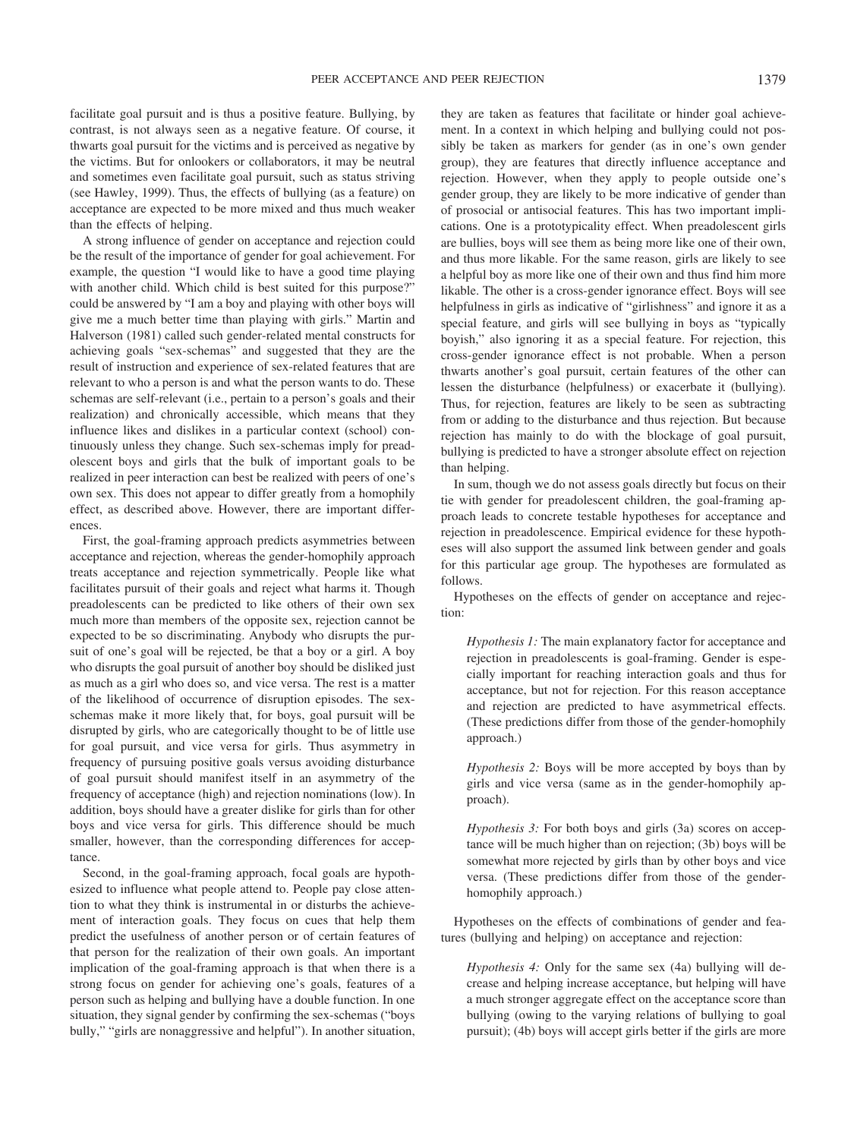facilitate goal pursuit and is thus a positive feature. Bullying, by contrast, is not always seen as a negative feature. Of course, it thwarts goal pursuit for the victims and is perceived as negative by the victims. But for onlookers or collaborators, it may be neutral and sometimes even facilitate goal pursuit, such as status striving (see Hawley, 1999). Thus, the effects of bullying (as a feature) on acceptance are expected to be more mixed and thus much weaker than the effects of helping.

A strong influence of gender on acceptance and rejection could be the result of the importance of gender for goal achievement. For example, the question "I would like to have a good time playing with another child. Which child is best suited for this purpose?" could be answered by "I am a boy and playing with other boys will give me a much better time than playing with girls." Martin and Halverson (1981) called such gender-related mental constructs for achieving goals "sex-schemas" and suggested that they are the result of instruction and experience of sex-related features that are relevant to who a person is and what the person wants to do. These schemas are self-relevant (i.e., pertain to a person's goals and their realization) and chronically accessible, which means that they influence likes and dislikes in a particular context (school) continuously unless they change. Such sex-schemas imply for preadolescent boys and girls that the bulk of important goals to be realized in peer interaction can best be realized with peers of one's own sex. This does not appear to differ greatly from a homophily effect, as described above. However, there are important differences.

First, the goal-framing approach predicts asymmetries between acceptance and rejection, whereas the gender-homophily approach treats acceptance and rejection symmetrically. People like what facilitates pursuit of their goals and reject what harms it. Though preadolescents can be predicted to like others of their own sex much more than members of the opposite sex, rejection cannot be expected to be so discriminating. Anybody who disrupts the pursuit of one's goal will be rejected, be that a boy or a girl. A boy who disrupts the goal pursuit of another boy should be disliked just as much as a girl who does so, and vice versa. The rest is a matter of the likelihood of occurrence of disruption episodes. The sexschemas make it more likely that, for boys, goal pursuit will be disrupted by girls, who are categorically thought to be of little use for goal pursuit, and vice versa for girls. Thus asymmetry in frequency of pursuing positive goals versus avoiding disturbance of goal pursuit should manifest itself in an asymmetry of the frequency of acceptance (high) and rejection nominations (low). In addition, boys should have a greater dislike for girls than for other boys and vice versa for girls. This difference should be much smaller, however, than the corresponding differences for acceptance.

Second, in the goal-framing approach, focal goals are hypothesized to influence what people attend to. People pay close attention to what they think is instrumental in or disturbs the achievement of interaction goals. They focus on cues that help them predict the usefulness of another person or of certain features of that person for the realization of their own goals. An important implication of the goal-framing approach is that when there is a strong focus on gender for achieving one's goals, features of a person such as helping and bullying have a double function. In one situation, they signal gender by confirming the sex-schemas ("boys bully," "girls are nonaggressive and helpful"). In another situation,

they are taken as features that facilitate or hinder goal achievement. In a context in which helping and bullying could not possibly be taken as markers for gender (as in one's own gender group), they are features that directly influence acceptance and rejection. However, when they apply to people outside one's gender group, they are likely to be more indicative of gender than of prosocial or antisocial features. This has two important implications. One is a prototypicality effect. When preadolescent girls are bullies, boys will see them as being more like one of their own, and thus more likable. For the same reason, girls are likely to see a helpful boy as more like one of their own and thus find him more likable. The other is a cross-gender ignorance effect. Boys will see helpfulness in girls as indicative of "girlishness" and ignore it as a special feature, and girls will see bullying in boys as "typically boyish," also ignoring it as a special feature. For rejection, this cross-gender ignorance effect is not probable. When a person thwarts another's goal pursuit, certain features of the other can lessen the disturbance (helpfulness) or exacerbate it (bullying). Thus, for rejection, features are likely to be seen as subtracting from or adding to the disturbance and thus rejection. But because rejection has mainly to do with the blockage of goal pursuit, bullying is predicted to have a stronger absolute effect on rejection than helping.

In sum, though we do not assess goals directly but focus on their tie with gender for preadolescent children, the goal-framing approach leads to concrete testable hypotheses for acceptance and rejection in preadolescence. Empirical evidence for these hypotheses will also support the assumed link between gender and goals for this particular age group. The hypotheses are formulated as follows.

Hypotheses on the effects of gender on acceptance and rejection:

*Hypothesis 1:* The main explanatory factor for acceptance and rejection in preadolescents is goal-framing. Gender is especially important for reaching interaction goals and thus for acceptance, but not for rejection. For this reason acceptance and rejection are predicted to have asymmetrical effects. (These predictions differ from those of the gender-homophily approach.)

*Hypothesis 2:* Boys will be more accepted by boys than by girls and vice versa (same as in the gender-homophily approach).

*Hypothesis 3:* For both boys and girls (3a) scores on acceptance will be much higher than on rejection; (3b) boys will be somewhat more rejected by girls than by other boys and vice versa. (These predictions differ from those of the genderhomophily approach.)

Hypotheses on the effects of combinations of gender and features (bullying and helping) on acceptance and rejection:

*Hypothesis 4:* Only for the same sex (4a) bullying will decrease and helping increase acceptance, but helping will have a much stronger aggregate effect on the acceptance score than bullying (owing to the varying relations of bullying to goal pursuit); (4b) boys will accept girls better if the girls are more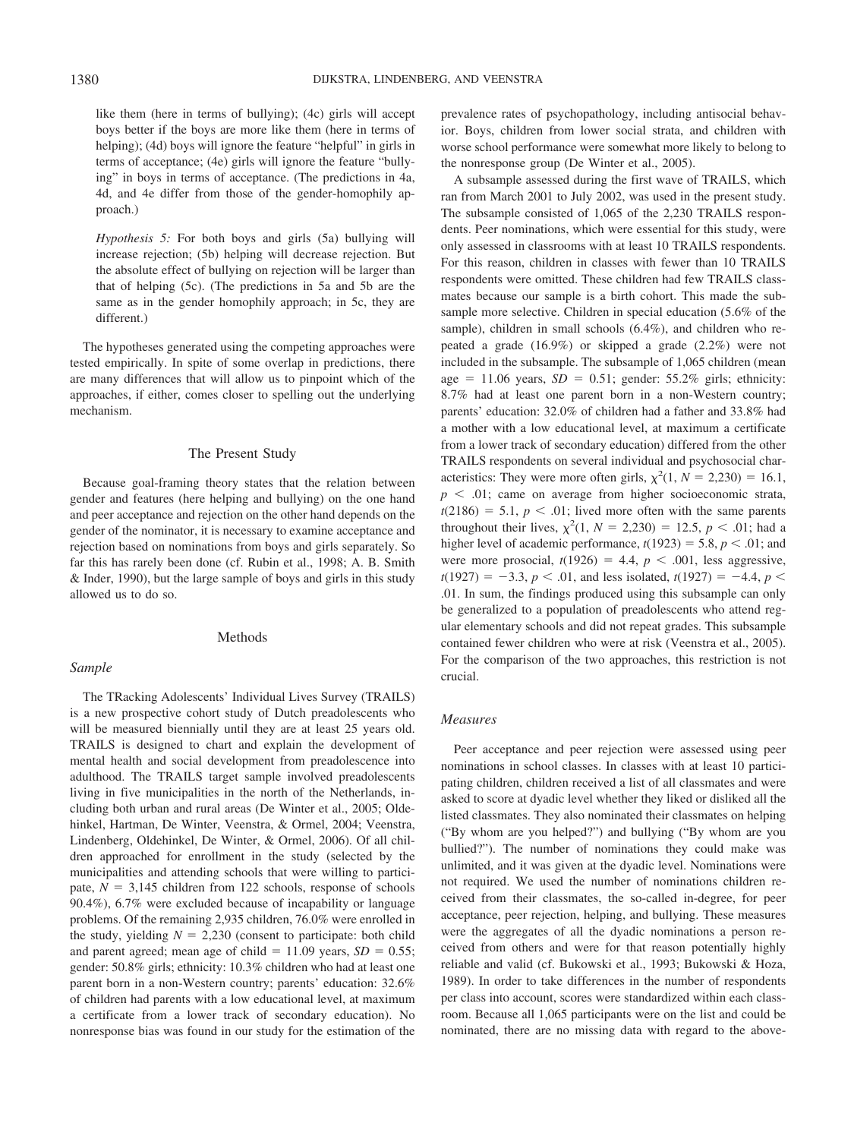like them (here in terms of bullying); (4c) girls will accept boys better if the boys are more like them (here in terms of helping); (4d) boys will ignore the feature "helpful" in girls in terms of acceptance; (4e) girls will ignore the feature "bullying" in boys in terms of acceptance. (The predictions in 4a, 4d, and 4e differ from those of the gender-homophily approach.)

*Hypothesis 5:* For both boys and girls (5a) bullying will increase rejection; (5b) helping will decrease rejection. But the absolute effect of bullying on rejection will be larger than that of helping (5c). (The predictions in 5a and 5b are the same as in the gender homophily approach; in 5c, they are different.)

The hypotheses generated using the competing approaches were tested empirically. In spite of some overlap in predictions, there are many differences that will allow us to pinpoint which of the approaches, if either, comes closer to spelling out the underlying mechanism.

### The Present Study

Because goal-framing theory states that the relation between gender and features (here helping and bullying) on the one hand and peer acceptance and rejection on the other hand depends on the gender of the nominator, it is necessary to examine acceptance and rejection based on nominations from boys and girls separately. So far this has rarely been done (cf. Rubin et al., 1998; A. B. Smith & Inder, 1990), but the large sample of boys and girls in this study allowed us to do so.

### Methods

#### *Sample*

The TRacking Adolescents' Individual Lives Survey (TRAILS) is a new prospective cohort study of Dutch preadolescents who will be measured biennially until they are at least 25 years old. TRAILS is designed to chart and explain the development of mental health and social development from preadolescence into adulthood. The TRAILS target sample involved preadolescents living in five municipalities in the north of the Netherlands, including both urban and rural areas (De Winter et al., 2005; Oldehinkel, Hartman, De Winter, Veenstra, & Ormel, 2004; Veenstra, Lindenberg, Oldehinkel, De Winter, & Ormel, 2006). Of all children approached for enrollment in the study (selected by the municipalities and attending schools that were willing to participate,  $N = 3,145$  children from 122 schools, response of schools 90.4%), 6.7% were excluded because of incapability or language problems. Of the remaining 2,935 children, 76.0% were enrolled in the study, yielding  $N = 2,230$  (consent to participate: both child and parent agreed; mean age of child  $= 11.09$  years,  $SD = 0.55$ ; gender: 50.8% girls; ethnicity: 10.3% children who had at least one parent born in a non-Western country; parents' education: 32.6% of children had parents with a low educational level, at maximum a certificate from a lower track of secondary education). No nonresponse bias was found in our study for the estimation of the

prevalence rates of psychopathology, including antisocial behavior. Boys, children from lower social strata, and children with worse school performance were somewhat more likely to belong to the nonresponse group (De Winter et al., 2005).

A subsample assessed during the first wave of TRAILS, which ran from March 2001 to July 2002, was used in the present study. The subsample consisted of 1,065 of the 2,230 TRAILS respondents. Peer nominations, which were essential for this study, were only assessed in classrooms with at least 10 TRAILS respondents. For this reason, children in classes with fewer than 10 TRAILS respondents were omitted. These children had few TRAILS classmates because our sample is a birth cohort. This made the subsample more selective. Children in special education (5.6% of the sample), children in small schools (6.4%), and children who repeated a grade (16.9%) or skipped a grade (2.2%) were not included in the subsample. The subsample of 1,065 children (mean age =  $11.06$  years,  $SD = 0.51$ ; gender:  $55.2\%$  girls; ethnicity: 8.7% had at least one parent born in a non-Western country; parents' education: 32.0% of children had a father and 33.8% had a mother with a low educational level, at maximum a certificate from a lower track of secondary education) differed from the other TRAILS respondents on several individual and psychosocial characteristics: They were more often girls,  $\chi^2(1, N = 2,230) = 16.1$ ,  $p < .01$ ; came on average from higher socioeconomic strata,  $t(2186) = 5.1, p < .01$ ; lived more often with the same parents throughout their lives,  $\chi^2(1, N = 2,230) = 12.5, p < .01$ ; had a higher level of academic performance,  $t(1923) = 5.8$ ,  $p < .01$ ; and were more prosocial,  $t(1926) = 4.4$ ,  $p < .001$ , less aggressive,  $t(1927) = -3.3, p < .01$ , and less isolated,  $t(1927) = -4.4, p < .01$ .01. In sum, the findings produced using this subsample can only be generalized to a population of preadolescents who attend regular elementary schools and did not repeat grades. This subsample contained fewer children who were at risk (Veenstra et al., 2005). For the comparison of the two approaches, this restriction is not crucial.

## *Measures*

Peer acceptance and peer rejection were assessed using peer nominations in school classes. In classes with at least 10 participating children, children received a list of all classmates and were asked to score at dyadic level whether they liked or disliked all the listed classmates. They also nominated their classmates on helping ("By whom are you helped?") and bullying ("By whom are you bullied?"). The number of nominations they could make was unlimited, and it was given at the dyadic level. Nominations were not required. We used the number of nominations children received from their classmates, the so-called in-degree, for peer acceptance, peer rejection, helping, and bullying. These measures were the aggregates of all the dyadic nominations a person received from others and were for that reason potentially highly reliable and valid (cf. Bukowski et al., 1993; Bukowski & Hoza, 1989). In order to take differences in the number of respondents per class into account, scores were standardized within each classroom. Because all 1,065 participants were on the list and could be nominated, there are no missing data with regard to the above-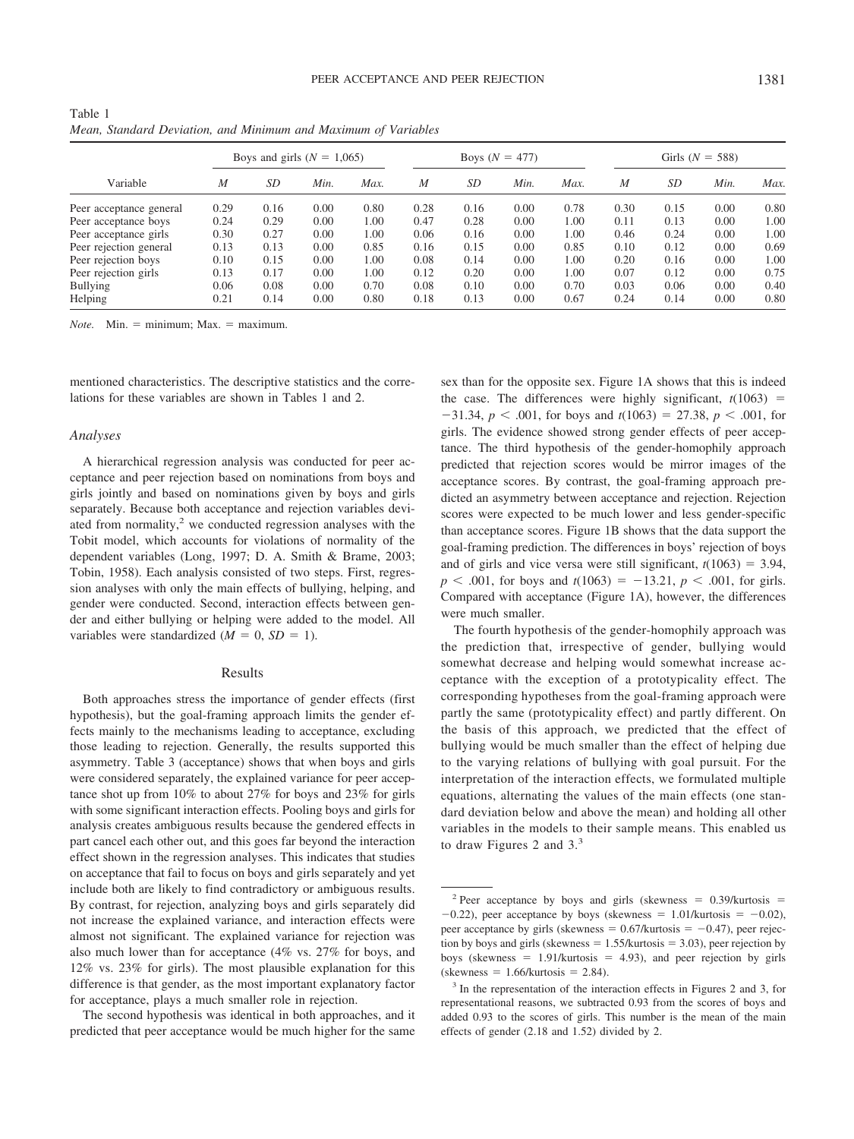Table 1 *Mean, Standard Deviation, and Minimum and Maximum of Variables*

|                         |      | Boys and girls ( $N = 1,065$ ) |      |      |      |      | Boys $(N = 477)$ |      |      |      | Girls ( $N = 588$ ) |      |
|-------------------------|------|--------------------------------|------|------|------|------|------------------|------|------|------|---------------------|------|
| Variable                | M    | <i>SD</i>                      | Min. | Max. | M    | SD   | Min.             | Max. | M    | SD   | Min.                | Max. |
| Peer acceptance general | 0.29 | 0.16                           | 0.00 | 0.80 | 0.28 | 0.16 | 0.00             | 0.78 | 0.30 | 0.15 | 0.00                | 0.80 |
| Peer acceptance boys    | 0.24 | 0.29                           | 0.00 | 1.00 | 0.47 | 0.28 | 0.00             | 1.00 | 0.11 | 0.13 | 0.00                | 1.00 |
| Peer acceptance girls   | 0.30 | 0.27                           | 0.00 | 1.00 | 0.06 | 0.16 | 0.00             | 1.00 | 0.46 | 0.24 | 0.00                | 1.00 |
| Peer rejection general  | 0.13 | 0.13                           | 0.00 | 0.85 | 0.16 | 0.15 | 0.00             | 0.85 | 0.10 | 0.12 | 0.00                | 0.69 |
| Peer rejection boys     | 0.10 | 0.15                           | 0.00 | 1.00 | 0.08 | 0.14 | 0.00             | 1.00 | 0.20 | 0.16 | 0.00                | 1.00 |
| Peer rejection girls    | 0.13 | 0.17                           | 0.00 | 1.00 | 0.12 | 0.20 | 0.00             | 1.00 | 0.07 | 0.12 | 0.00                | 0.75 |
| <b>Bullying</b>         | 0.06 | 0.08                           | 0.00 | 0.70 | 0.08 | 0.10 | 0.00             | 0.70 | 0.03 | 0.06 | 0.00                | 0.40 |
| Helping                 | 0.21 | 0.14                           | 0.00 | 0.80 | 0.18 | 0.13 | 0.00             | 0.67 | 0.24 | 0.14 | 0.00                | 0.80 |

 $Note.$  Min.  $=$  minimum; Max.  $=$  maximum.

mentioned characteristics. The descriptive statistics and the correlations for these variables are shown in Tables 1 and 2.

#### *Analyses*

A hierarchical regression analysis was conducted for peer acceptance and peer rejection based on nominations from boys and girls jointly and based on nominations given by boys and girls separately. Because both acceptance and rejection variables deviated from normality, $2$  we conducted regression analyses with the Tobit model, which accounts for violations of normality of the dependent variables (Long, 1997; D. A. Smith & Brame, 2003; Tobin, 1958). Each analysis consisted of two steps. First, regression analyses with only the main effects of bullying, helping, and gender were conducted. Second, interaction effects between gender and either bullying or helping were added to the model. All variables were standardized  $(M = 0, SD = 1)$ .

## Results

Both approaches stress the importance of gender effects (first hypothesis), but the goal-framing approach limits the gender effects mainly to the mechanisms leading to acceptance, excluding those leading to rejection. Generally, the results supported this asymmetry. Table 3 (acceptance) shows that when boys and girls were considered separately, the explained variance for peer acceptance shot up from 10% to about 27% for boys and 23% for girls with some significant interaction effects. Pooling boys and girls for analysis creates ambiguous results because the gendered effects in part cancel each other out, and this goes far beyond the interaction effect shown in the regression analyses. This indicates that studies on acceptance that fail to focus on boys and girls separately and yet include both are likely to find contradictory or ambiguous results. By contrast, for rejection, analyzing boys and girls separately did not increase the explained variance, and interaction effects were almost not significant. The explained variance for rejection was also much lower than for acceptance (4% vs. 27% for boys, and 12% vs. 23% for girls). The most plausible explanation for this difference is that gender, as the most important explanatory factor for acceptance, plays a much smaller role in rejection.

The second hypothesis was identical in both approaches, and it predicted that peer acceptance would be much higher for the same sex than for the opposite sex. Figure 1A shows that this is indeed the case. The differences were highly significant,  $t(1063)$  =  $-31.34, p < .001$ , for boys and  $t(1063) = 27.38, p < .001$ , for girls. The evidence showed strong gender effects of peer acceptance. The third hypothesis of the gender-homophily approach predicted that rejection scores would be mirror images of the acceptance scores. By contrast, the goal-framing approach predicted an asymmetry between acceptance and rejection. Rejection scores were expected to be much lower and less gender-specific than acceptance scores. Figure 1B shows that the data support the goal-framing prediction. The differences in boys' rejection of boys and of girls and vice versa were still significant,  $t(1063) = 3.94$ ,  $p < .001$ , for boys and  $t(1063) = -13.21$ ,  $p < .001$ , for girls. Compared with acceptance (Figure 1A), however, the differences were much smaller.

The fourth hypothesis of the gender-homophily approach was the prediction that, irrespective of gender, bullying would somewhat decrease and helping would somewhat increase acceptance with the exception of a prototypicality effect. The corresponding hypotheses from the goal-framing approach were partly the same (prototypicality effect) and partly different. On the basis of this approach, we predicted that the effect of bullying would be much smaller than the effect of helping due to the varying relations of bullying with goal pursuit. For the interpretation of the interaction effects, we formulated multiple equations, alternating the values of the main effects (one standard deviation below and above the mean) and holding all other variables in the models to their sample means. This enabled us to draw Figures 2 and 3.<sup>3</sup>

<sup>&</sup>lt;sup>2</sup> Peer acceptance by boys and girls (skewness =  $0.39$ /kurtosis =  $-0.22$ ), peer acceptance by boys (skewness = 1.01/kurtosis =  $-0.02$ ), peer acceptance by girls (skewness =  $0.67/kurtosis = -0.47$ ), peer rejection by boys and girls (skewness  $= 1.55/kurtosis = 3.03$ ), peer rejection by boys (skewness  $= 1.91/kurtosis = 4.93$ ), and peer rejection by girls  $(s$ kewness = 1.66/kurtosis = 2.84).

<sup>3</sup> In the representation of the interaction effects in Figures 2 and 3, for representational reasons, we subtracted 0.93 from the scores of boys and added 0.93 to the scores of girls. This number is the mean of the main effects of gender (2.18 and 1.52) divided by 2.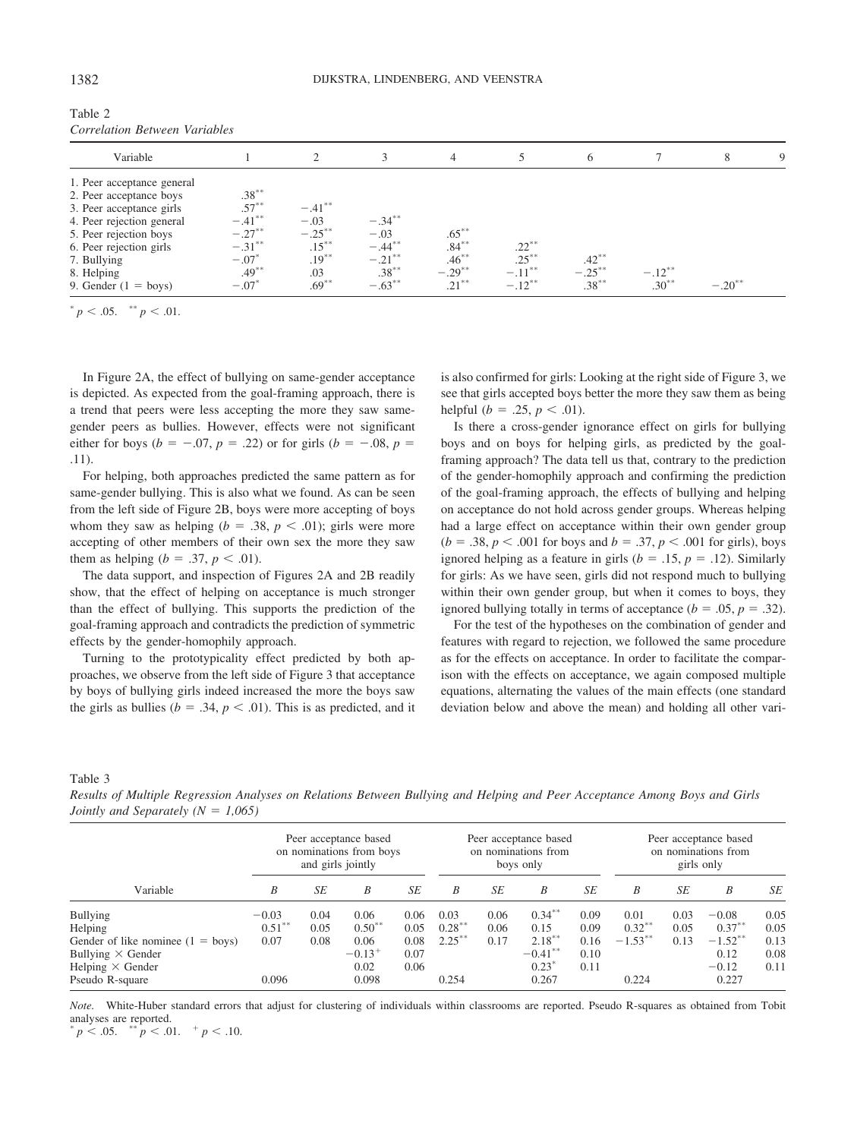| Variable                                                                                                                                                                                                                          |                                                                                                                 |                                                                             |                                                                        |                                                           |                                                | 6                                            |                       | 8                    | 9 |
|-----------------------------------------------------------------------------------------------------------------------------------------------------------------------------------------------------------------------------------|-----------------------------------------------------------------------------------------------------------------|-----------------------------------------------------------------------------|------------------------------------------------------------------------|-----------------------------------------------------------|------------------------------------------------|----------------------------------------------|-----------------------|----------------------|---|
| 1. Peer acceptance general<br>2. Peer acceptance boys<br>3. Peer acceptance girls<br>4. Peer rejection general<br>5. Peer rejection boys<br>6. Peer rejection girls<br>7. Bullying<br>8. Helping<br>9. Gender $(1 = \text{boys})$ | $.38***$<br>$.57***$<br>$-.41^*$<br>$-.27***$<br>$-.31$ <sup>**</sup><br>$-.07^*$<br>$.49***$<br>$-.07^{\circ}$ | $-.41***$<br>$-.03$<br>$-.25***$<br>$.15***$<br>$.19***$<br>.03<br>$.69***$ | $-.34***$<br>$-.03$<br>$-.44***$<br>$-.21$ **<br>$.38***$<br>$-.63***$ | $.65***$<br>$.84***$<br>$.46***$<br>$-.29***$<br>$.21***$ | $.22***$<br>$.25***$<br>$-.11***$<br>$-.12***$ | $.42***$<br>$-.25$ <sup>**</sup><br>$.38***$ | $-.12***$<br>$.30***$ | $-.20$ <sup>**</sup> |   |

Table 2 *Correlation Between Variables*

 $p < .05.$  \*\*  $p < .01.$ 

In Figure 2A, the effect of bullying on same-gender acceptance is depicted. As expected from the goal-framing approach, there is a trend that peers were less accepting the more they saw samegender peers as bullies. However, effects were not significant either for boys ( $b = -.07$ ,  $p = .22$ ) or for girls ( $b = -.08$ ,  $p =$ .11).

For helping, both approaches predicted the same pattern as for same-gender bullying. This is also what we found. As can be seen from the left side of Figure 2B, boys were more accepting of boys whom they saw as helping ( $b = .38$ ,  $p < .01$ ); girls were more accepting of other members of their own sex the more they saw them as helping ( $b = .37$ ,  $p < .01$ ).

The data support, and inspection of Figures 2A and 2B readily show, that the effect of helping on acceptance is much stronger than the effect of bullying. This supports the prediction of the goal-framing approach and contradicts the prediction of symmetric effects by the gender-homophily approach.

Turning to the prototypicality effect predicted by both approaches, we observe from the left side of Figure 3 that acceptance by boys of bullying girls indeed increased the more the boys saw the girls as bullies ( $b = .34$ ,  $p < .01$ ). This is as predicted, and it is also confirmed for girls: Looking at the right side of Figure 3, we see that girls accepted boys better the more they saw them as being helpful ( $b = .25$ ,  $p < .01$ ).

Is there a cross-gender ignorance effect on girls for bullying boys and on boys for helping girls, as predicted by the goalframing approach? The data tell us that, contrary to the prediction of the gender-homophily approach and confirming the prediction of the goal-framing approach, the effects of bullying and helping on acceptance do not hold across gender groups. Whereas helping had a large effect on acceptance within their own gender group  $(b = .38, p < .001$  for boys and  $b = .37, p < .001$  for girls), boys ignored helping as a feature in girls ( $b = .15$ ,  $p = .12$ ). Similarly for girls: As we have seen, girls did not respond much to bullying within their own gender group, but when it comes to boys, they ignored bullying totally in terms of acceptance ( $b = .05$ ,  $p = .32$ ).

For the test of the hypotheses on the combination of gender and features with regard to rejection, we followed the same procedure as for the effects on acceptance. In order to facilitate the comparison with the effects on acceptance, we again composed multiple equations, alternating the values of the main effects (one standard deviation below and above the mean) and holding all other vari-

Table 3

*Results of Multiple Regression Analyses on Relations Between Bullying and Helping and Peer Acceptance Among Boys and Girls Jointly and Separately (* $N = 1,065$ *)* 

|                                            | Peer acceptance based<br>on nominations from boys<br>and girls jointly |      |             |      | Peer acceptance based<br>on nominations from<br>boys only |      |            |      | Peer acceptance based<br>on nominations from<br>girls only |      |            |      |
|--------------------------------------------|------------------------------------------------------------------------|------|-------------|------|-----------------------------------------------------------|------|------------|------|------------------------------------------------------------|------|------------|------|
| Variable                                   | B                                                                      | SE   | B           | SE   | B                                                         | SE   | B          | SE   | B                                                          | SE   | B          | SE   |
| <b>Bullying</b>                            | $-0.03$                                                                | 0.04 | 0.06        | 0.06 | 0.03                                                      | 0.06 | $0.34***$  | 0.09 | 0.01                                                       | 0.03 | $-0.08$    | 0.05 |
| Helping                                    | $0.51***$                                                              | 0.05 | $0.50^{**}$ | 0.05 | $0.28***$                                                 | 0.06 | 0.15       | 0.09 | $0.32***$                                                  | 0.05 | $0.37***$  | 0.05 |
| Gender of like nominee $(1 = \text{boys})$ | 0.07                                                                   | 0.08 | 0.06        | 0.08 | $2.25***$                                                 | 0.17 | $2.18***$  | 0.16 | $-1.53***$                                                 | 0.13 | $-1.52***$ | 0.13 |
| Bullying $\times$ Gender                   |                                                                        |      | $-0.13^{+}$ | 0.07 |                                                           |      | $-0.41***$ | 0.10 |                                                            |      | 0.12       | 0.08 |
| Helping $\times$ Gender                    |                                                                        |      | 0.02        | 0.06 |                                                           |      | $0.23*$    | 0.11 |                                                            |      | $-0.12$    | 0.11 |
| Pseudo R-square                            | 0.096                                                                  |      | 0.098       |      | 0.254                                                     |      | 0.267      |      | 0.224                                                      |      | 0.227      |      |

*Note.* White-Huber standard errors that adjust for clustering of individuals within classrooms are reported. Pseudo R-squares as obtained from Tobit analyses are reported.

 $p < .05.$  \*\*  $p < .01.$   $p < .10.$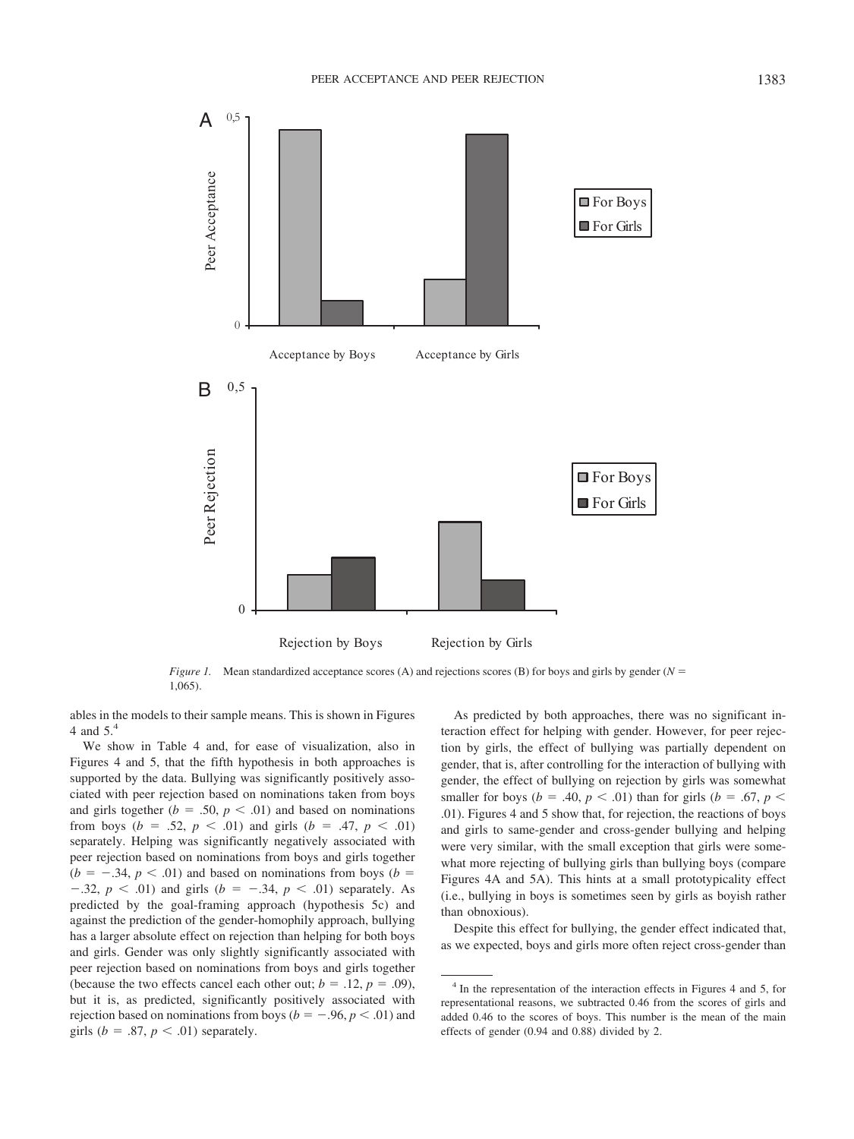

*Figure 1.* Mean standardized acceptance scores (A) and rejections scores (B) for boys and girls by gender ( $N =$ 1,065).

ables in the models to their sample means. This is shown in Figures 4 and  $5<sup>4</sup>$ 

We show in Table 4 and, for ease of visualization, also in Figures 4 and 5, that the fifth hypothesis in both approaches is supported by the data. Bullying was significantly positively associated with peer rejection based on nominations taken from boys and girls together ( $b = .50$ ,  $p < .01$ ) and based on nominations from boys ( $b = .52$ ,  $p < .01$ ) and girls ( $b = .47$ ,  $p < .01$ ) separately. Helping was significantly negatively associated with peer rejection based on nominations from boys and girls together  $(b = -.34, p < .01)$  and based on nominations from boys (*b* =  $-32$ ,  $p < .01$ ) and girls ( $b = -.34$ ,  $p < .01$ ) separately. As predicted by the goal-framing approach (hypothesis 5c) and against the prediction of the gender-homophily approach, bullying has a larger absolute effect on rejection than helping for both boys and girls. Gender was only slightly significantly associated with peer rejection based on nominations from boys and girls together (because the two effects cancel each other out;  $b = .12$ ,  $p = .09$ ), but it is, as predicted, significantly positively associated with rejection based on nominations from boys ( $b = -.96, p < .01$ ) and girls ( $b = .87$ ,  $p < .01$ ) separately.

As predicted by both approaches, there was no significant interaction effect for helping with gender. However, for peer rejection by girls, the effect of bullying was partially dependent on gender, that is, after controlling for the interaction of bullying with gender, the effect of bullying on rejection by girls was somewhat smaller for boys ( $b = .40$ ,  $p < .01$ ) than for girls ( $b = .67$ ,  $p <$ .01). Figures 4 and 5 show that, for rejection, the reactions of boys and girls to same-gender and cross-gender bullying and helping were very similar, with the small exception that girls were somewhat more rejecting of bullying girls than bullying boys (compare Figures 4A and 5A). This hints at a small prototypicality effect (i.e., bullying in boys is sometimes seen by girls as boyish rather than obnoxious).

Despite this effect for bullying, the gender effect indicated that, as we expected, boys and girls more often reject cross-gender than

<sup>4</sup> In the representation of the interaction effects in Figures 4 and 5, for representational reasons, we subtracted 0.46 from the scores of girls and added 0.46 to the scores of boys. This number is the mean of the main effects of gender (0.94 and 0.88) divided by 2.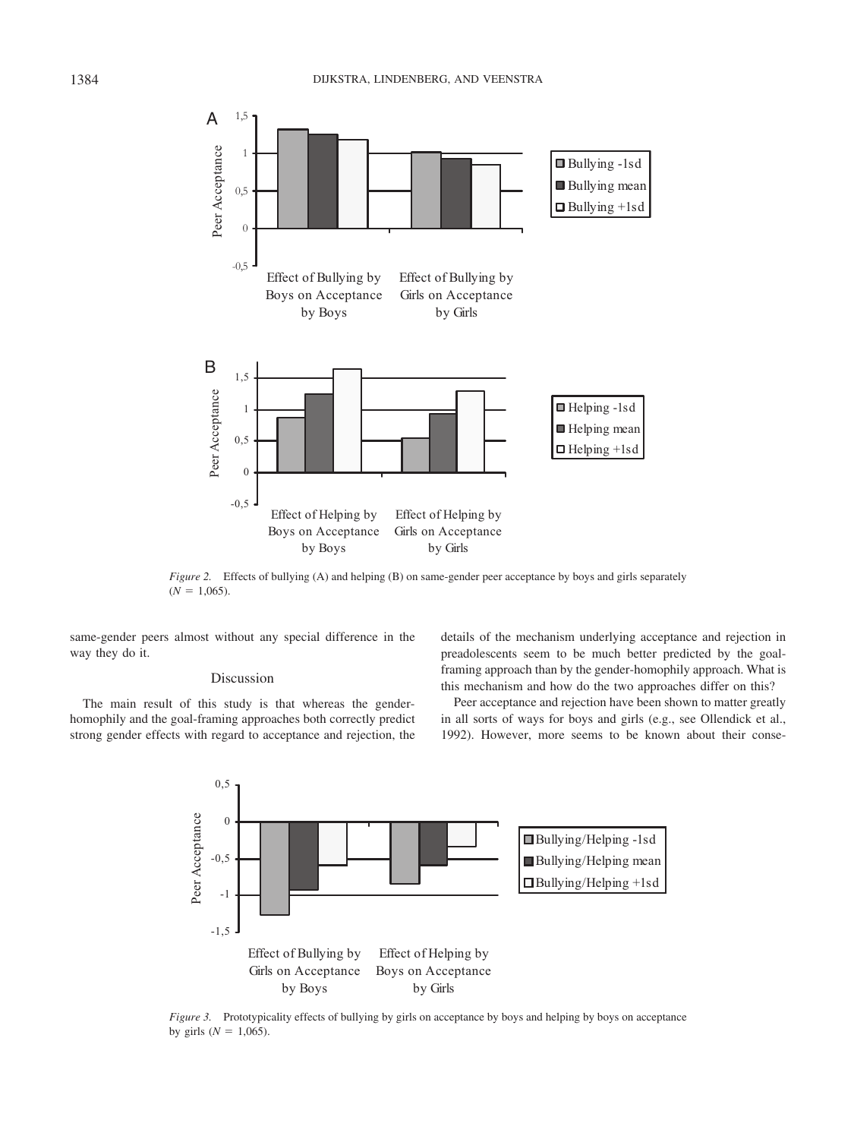

*Figure 2.* Effects of bullying (A) and helping (B) on same-gender peer acceptance by boys and girls separately  $(N = 1,065)$ .

same-gender peers almost without any special difference in the way they do it.

## Discussion

The main result of this study is that whereas the genderhomophily and the goal-framing approaches both correctly predict strong gender effects with regard to acceptance and rejection, the details of the mechanism underlying acceptance and rejection in preadolescents seem to be much better predicted by the goalframing approach than by the gender-homophily approach. What is this mechanism and how do the two approaches differ on this?

Peer acceptance and rejection have been shown to matter greatly in all sorts of ways for boys and girls (e.g., see Ollendick et al., 1992). However, more seems to be known about their conse-



*Figure 3.* Prototypicality effects of bullying by girls on acceptance by boys and helping by boys on acceptance by girls ( $N = 1,065$ ).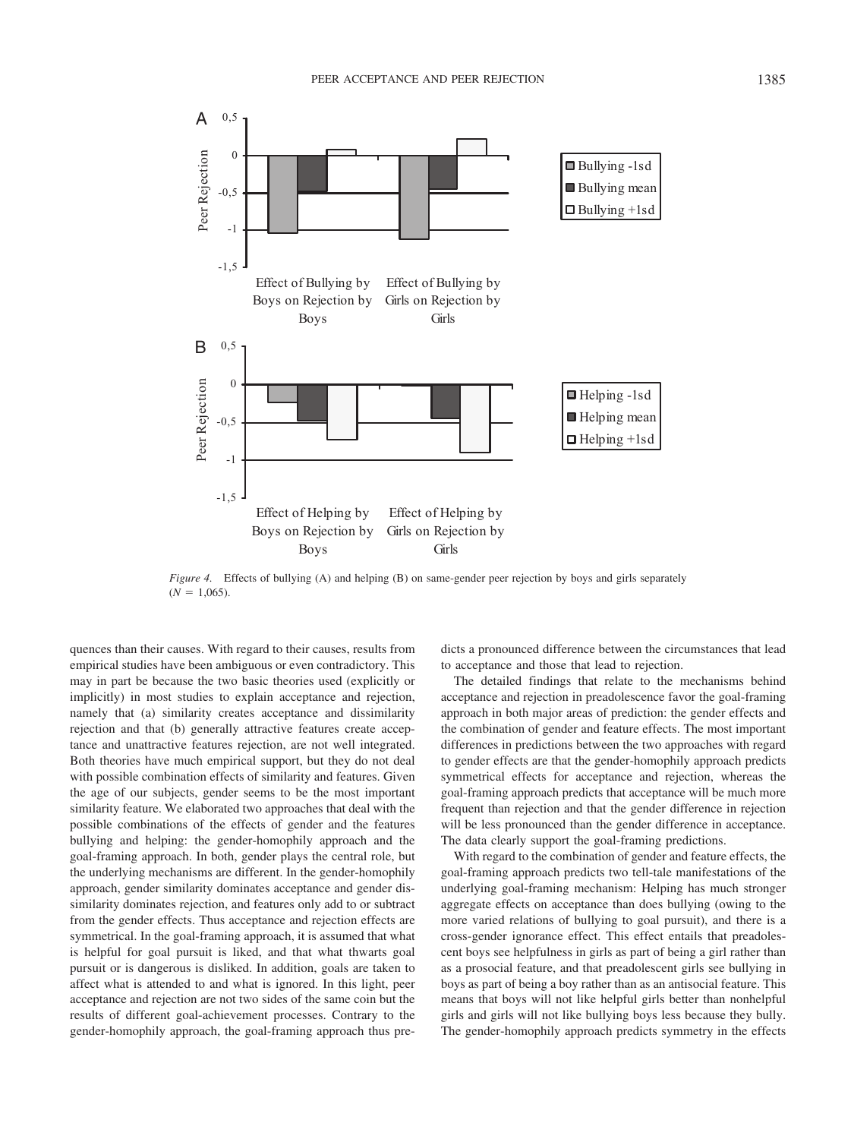

*Figure 4.* Effects of bullying (A) and helping (B) on same-gender peer rejection by boys and girls separately  $(N = 1,065)$ .

quences than their causes. With regard to their causes, results from empirical studies have been ambiguous or even contradictory. This may in part be because the two basic theories used (explicitly or implicitly) in most studies to explain acceptance and rejection, namely that (a) similarity creates acceptance and dissimilarity rejection and that (b) generally attractive features create acceptance and unattractive features rejection, are not well integrated. Both theories have much empirical support, but they do not deal with possible combination effects of similarity and features. Given the age of our subjects, gender seems to be the most important similarity feature. We elaborated two approaches that deal with the possible combinations of the effects of gender and the features bullying and helping: the gender-homophily approach and the goal-framing approach. In both, gender plays the central role, but the underlying mechanisms are different. In the gender-homophily approach, gender similarity dominates acceptance and gender dissimilarity dominates rejection, and features only add to or subtract from the gender effects. Thus acceptance and rejection effects are symmetrical. In the goal-framing approach, it is assumed that what is helpful for goal pursuit is liked, and that what thwarts goal pursuit or is dangerous is disliked. In addition, goals are taken to affect what is attended to and what is ignored. In this light, peer acceptance and rejection are not two sides of the same coin but the results of different goal-achievement processes. Contrary to the gender-homophily approach, the goal-framing approach thus predicts a pronounced difference between the circumstances that lead to acceptance and those that lead to rejection.

The detailed findings that relate to the mechanisms behind acceptance and rejection in preadolescence favor the goal-framing approach in both major areas of prediction: the gender effects and the combination of gender and feature effects. The most important differences in predictions between the two approaches with regard to gender effects are that the gender-homophily approach predicts symmetrical effects for acceptance and rejection, whereas the goal-framing approach predicts that acceptance will be much more frequent than rejection and that the gender difference in rejection will be less pronounced than the gender difference in acceptance. The data clearly support the goal-framing predictions.

With regard to the combination of gender and feature effects, the goal-framing approach predicts two tell-tale manifestations of the underlying goal-framing mechanism: Helping has much stronger aggregate effects on acceptance than does bullying (owing to the more varied relations of bullying to goal pursuit), and there is a cross-gender ignorance effect. This effect entails that preadolescent boys see helpfulness in girls as part of being a girl rather than as a prosocial feature, and that preadolescent girls see bullying in boys as part of being a boy rather than as an antisocial feature. This means that boys will not like helpful girls better than nonhelpful girls and girls will not like bullying boys less because they bully. The gender-homophily approach predicts symmetry in the effects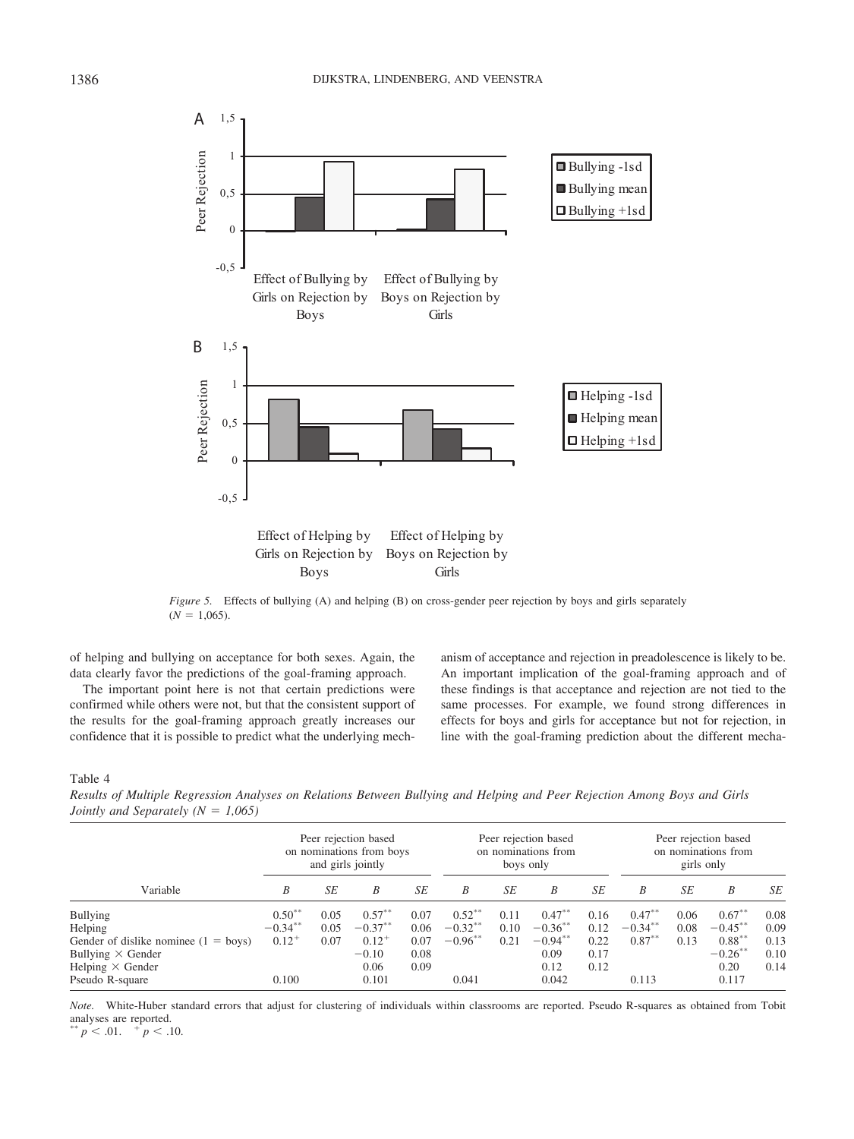

*Figure 5.* Effects of bullying (A) and helping (B) on cross-gender peer rejection by boys and girls separately  $(N = 1,065)$ .

of helping and bullying on acceptance for both sexes. Again, the data clearly favor the predictions of the goal-framing approach.

The important point here is not that certain predictions were confirmed while others were not, but that the consistent support of the results for the goal-framing approach greatly increases our confidence that it is possible to predict what the underlying mechanism of acceptance and rejection in preadolescence is likely to be. An important implication of the goal-framing approach and of these findings is that acceptance and rejection are not tied to the same processes. For example, we found strong differences in effects for boys and girls for acceptance but not for rejection, in line with the goal-framing prediction about the different mecha-

#### Table 4

*Results of Multiple Regression Analyses on Relations Between Bullying and Helping and Peer Rejection Among Boys and Girls Jointly and Separately (* $N = 1,065$ *)* 

|                                               | Peer rejection based<br>on nominations from boys<br>and girls jointly |      |            |      | Peer rejection based<br>on nominations from<br>boys only |      |            |      | Peer rejection based<br>on nominations from<br>girls only |      |            |      |
|-----------------------------------------------|-----------------------------------------------------------------------|------|------------|------|----------------------------------------------------------|------|------------|------|-----------------------------------------------------------|------|------------|------|
| Variable                                      | B                                                                     | SE   | B          | SE   | B                                                        | SE   | B          | SE   | B                                                         | SE   | B          | SE   |
| <b>Bullying</b>                               | $0.50^{**}$                                                           | 0.05 | $0.57***$  | 0.07 | $0.52$ **                                                | 0.11 | $0.47***$  | 0.16 | $0.47***$                                                 | 0.06 | $0.67**$   | 0.08 |
| Helping                                       | $-0.34***$                                                            | 0.05 | $-0.37***$ | 0.06 | $-0.32***$                                               | 0.10 | $-0.36***$ | 0.12 | $-0.34***$                                                | 0.08 | $-0.45***$ | 0.09 |
| Gender of dislike nominee $(1 = \text{boys})$ | $0.12^{+}$                                                            | 0.07 | $0.12^{+}$ | 0.07 | $-0.96***$                                               | 0.21 | $-0.94***$ | 0.22 | $0.87***$                                                 | 0.13 | $0.88***$  | 0.13 |
| Bullying $\times$ Gender                      |                                                                       |      | $-0.10$    | 0.08 |                                                          |      | 0.09       | 0.17 |                                                           |      | $-0.26***$ | 0.10 |
| Helping $\times$ Gender                       |                                                                       |      | 0.06       | 0.09 |                                                          |      | 0.12       | 0.12 |                                                           |      | 0.20       | 0.14 |
| Pseudo R-square                               | 0.100                                                                 |      | 0.101      |      | 0.041                                                    |      | 0.042      |      | 0.113                                                     |      | 0.117      |      |

*Note.* White-Huber standard errors that adjust for clustering of individuals within classrooms are reported. Pseudo R-squares as obtained from Tobit analyses are reported.

 $p < .01.$   $p < .10.$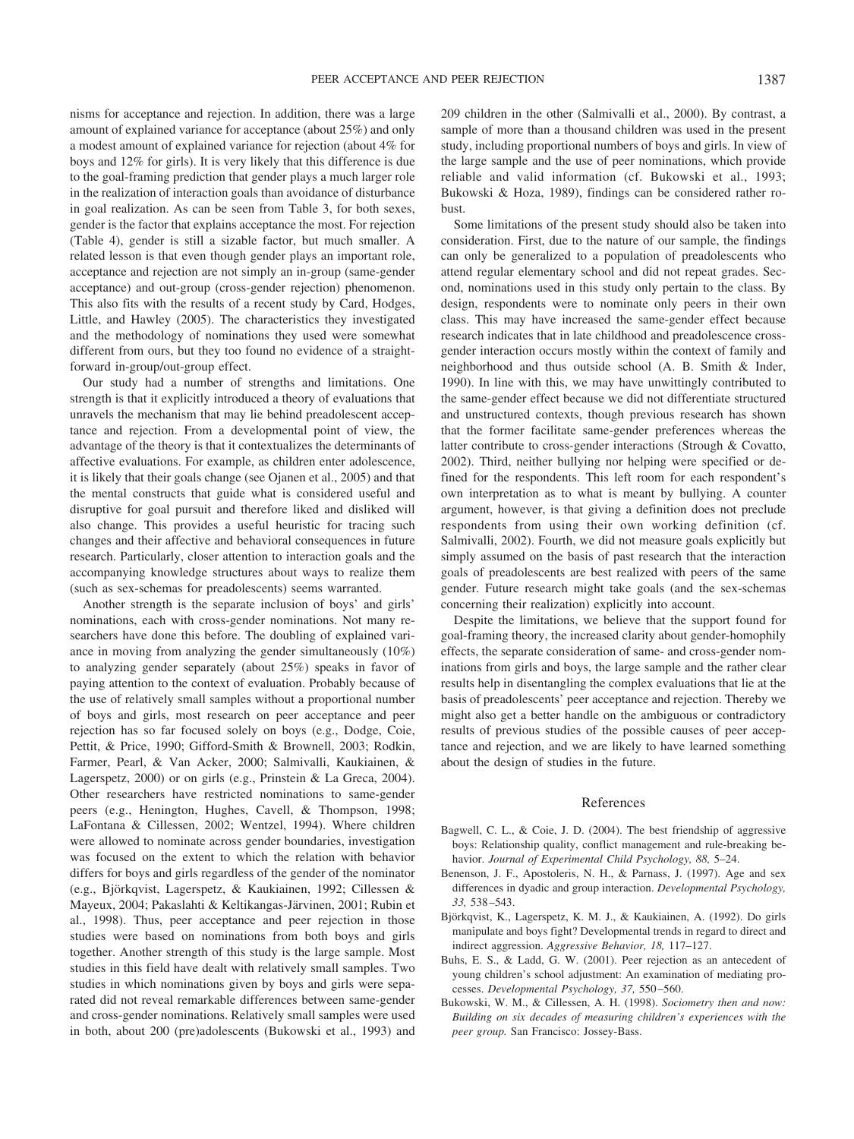nisms for acceptance and rejection. In addition, there was a large amount of explained variance for acceptance (about 25%) and only a modest amount of explained variance for rejection (about 4% for boys and 12% for girls). It is very likely that this difference is due to the goal-framing prediction that gender plays a much larger role in the realization of interaction goals than avoidance of disturbance in goal realization. As can be seen from Table 3, for both sexes, gender is the factor that explains acceptance the most. For rejection (Table 4), gender is still a sizable factor, but much smaller. A related lesson is that even though gender plays an important role, acceptance and rejection are not simply an in-group (same-gender acceptance) and out-group (cross-gender rejection) phenomenon. This also fits with the results of a recent study by Card, Hodges, Little, and Hawley (2005). The characteristics they investigated and the methodology of nominations they used were somewhat different from ours, but they too found no evidence of a straight-

Our study had a number of strengths and limitations. One strength is that it explicitly introduced a theory of evaluations that unravels the mechanism that may lie behind preadolescent acceptance and rejection. From a developmental point of view, the advantage of the theory is that it contextualizes the determinants of affective evaluations. For example, as children enter adolescence, it is likely that their goals change (see Ojanen et al., 2005) and that the mental constructs that guide what is considered useful and disruptive for goal pursuit and therefore liked and disliked will also change. This provides a useful heuristic for tracing such changes and their affective and behavioral consequences in future research. Particularly, closer attention to interaction goals and the accompanying knowledge structures about ways to realize them (such as sex-schemas for preadolescents) seems warranted.

forward in-group/out-group effect.

Another strength is the separate inclusion of boys' and girls' nominations, each with cross-gender nominations. Not many researchers have done this before. The doubling of explained variance in moving from analyzing the gender simultaneously (10%) to analyzing gender separately (about 25%) speaks in favor of paying attention to the context of evaluation. Probably because of the use of relatively small samples without a proportional number of boys and girls, most research on peer acceptance and peer rejection has so far focused solely on boys (e.g., Dodge, Coie, Pettit, & Price, 1990; Gifford-Smith & Brownell, 2003; Rodkin, Farmer, Pearl, & Van Acker, 2000; Salmivalli, Kaukiainen, & Lagerspetz, 2000) or on girls (e.g., Prinstein & La Greca, 2004). Other researchers have restricted nominations to same-gender peers (e.g., Henington, Hughes, Cavell, & Thompson, 1998; LaFontana & Cillessen, 2002; Wentzel, 1994). Where children were allowed to nominate across gender boundaries, investigation was focused on the extent to which the relation with behavior differs for boys and girls regardless of the gender of the nominator (e.g., Björkqvist, Lagerspetz, & Kaukiainen, 1992; Cillessen & Mayeux, 2004; Pakaslahti & Keltikangas-Järvinen, 2001; Rubin et al., 1998). Thus, peer acceptance and peer rejection in those studies were based on nominations from both boys and girls together. Another strength of this study is the large sample. Most studies in this field have dealt with relatively small samples. Two studies in which nominations given by boys and girls were separated did not reveal remarkable differences between same-gender and cross-gender nominations. Relatively small samples were used in both, about 200 (pre)adolescents (Bukowski et al., 1993) and

209 children in the other (Salmivalli et al., 2000). By contrast, a sample of more than a thousand children was used in the present study, including proportional numbers of boys and girls. In view of the large sample and the use of peer nominations, which provide reliable and valid information (cf. Bukowski et al., 1993; Bukowski & Hoza, 1989), findings can be considered rather robust.

Some limitations of the present study should also be taken into consideration. First, due to the nature of our sample, the findings can only be generalized to a population of preadolescents who attend regular elementary school and did not repeat grades. Second, nominations used in this study only pertain to the class. By design, respondents were to nominate only peers in their own class. This may have increased the same-gender effect because research indicates that in late childhood and preadolescence crossgender interaction occurs mostly within the context of family and neighborhood and thus outside school (A. B. Smith & Inder, 1990). In line with this, we may have unwittingly contributed to the same-gender effect because we did not differentiate structured and unstructured contexts, though previous research has shown that the former facilitate same-gender preferences whereas the latter contribute to cross-gender interactions (Strough & Covatto, 2002). Third, neither bullying nor helping were specified or defined for the respondents. This left room for each respondent's own interpretation as to what is meant by bullying. A counter argument, however, is that giving a definition does not preclude respondents from using their own working definition (cf. Salmivalli, 2002). Fourth, we did not measure goals explicitly but simply assumed on the basis of past research that the interaction goals of preadolescents are best realized with peers of the same gender. Future research might take goals (and the sex-schemas concerning their realization) explicitly into account.

Despite the limitations, we believe that the support found for goal-framing theory, the increased clarity about gender-homophily effects, the separate consideration of same- and cross-gender nominations from girls and boys, the large sample and the rather clear results help in disentangling the complex evaluations that lie at the basis of preadolescents' peer acceptance and rejection. Thereby we might also get a better handle on the ambiguous or contradictory results of previous studies of the possible causes of peer acceptance and rejection, and we are likely to have learned something about the design of studies in the future.

### References

- Bagwell, C. L., & Coie, J. D. (2004). The best friendship of aggressive boys: Relationship quality, conflict management and rule-breaking behavior. *Journal of Experimental Child Psychology, 88,* 5–24.
- Benenson, J. F., Apostoleris, N. H., & Parnass, J. (1997). Age and sex differences in dyadic and group interaction. *Developmental Psychology, 33,* 538 –543.
- Björkqvist, K., Lagerspetz, K. M. J., & Kaukiainen, A. (1992). Do girls manipulate and boys fight? Developmental trends in regard to direct and indirect aggression. *Aggressive Behavior, 18,* 117–127.
- Buhs, E. S., & Ladd, G. W. (2001). Peer rejection as an antecedent of young children's school adjustment: An examination of mediating processes. *Developmental Psychology, 37,* 550 –560.
- Bukowski, W. M., & Cillessen, A. H. (1998). *Sociometry then and now: Building on six decades of measuring children's experiences with the peer group.* San Francisco: Jossey-Bass.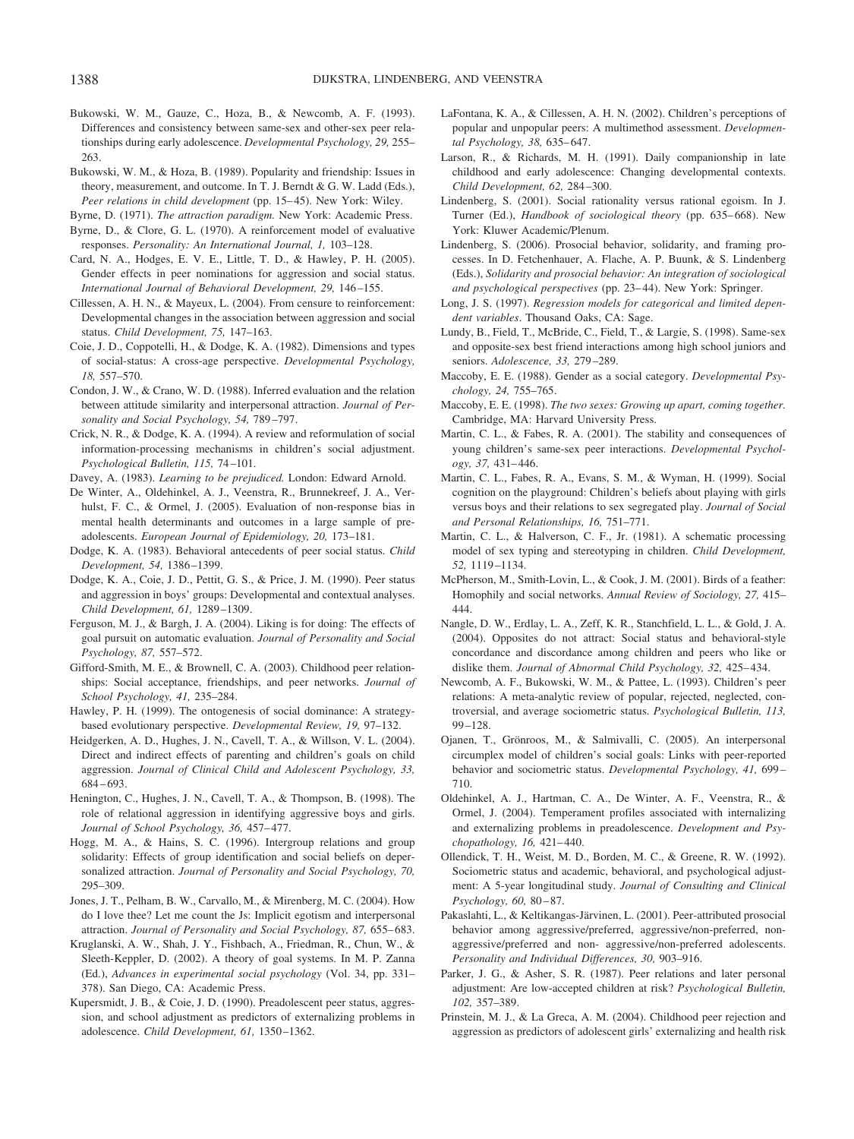- Bukowski, W. M., Gauze, C., Hoza, B., & Newcomb, A. F. (1993). Differences and consistency between same-sex and other-sex peer relationships during early adolescence. *Developmental Psychology, 29,* 255– 263.
- Bukowski, W. M., & Hoza, B. (1989). Popularity and friendship: Issues in theory, measurement, and outcome. In T. J. Berndt & G. W. Ladd (Eds.), *Peer relations in child development* (pp. 15–45). New York: Wiley.
- Byrne, D. (1971). *The attraction paradigm.* New York: Academic Press.
- Byrne, D., & Clore, G. L. (1970). A reinforcement model of evaluative responses. *Personality: An International Journal, 1,* 103–128.
- Card, N. A., Hodges, E. V. E., Little, T. D., & Hawley, P. H. (2005). Gender effects in peer nominations for aggression and social status. *International Journal of Behavioral Development, 29,* 146 –155.
- Cillessen, A. H. N., & Mayeux, L. (2004). From censure to reinforcement: Developmental changes in the association between aggression and social status. *Child Development, 75,* 147–163.
- Coie, J. D., Coppotelli, H., & Dodge, K. A. (1982). Dimensions and types of social-status: A cross-age perspective. *Developmental Psychology, 18,* 557–570.
- Condon, J. W., & Crano, W. D. (1988). Inferred evaluation and the relation between attitude similarity and interpersonal attraction. *Journal of Personality and Social Psychology, 54,* 789 –797.
- Crick, N. R., & Dodge, K. A. (1994). A review and reformulation of social information-processing mechanisms in children's social adjustment. *Psychological Bulletin, 115,* 74 –101.
- Davey, A. (1983). *Learning to be prejudiced.* London: Edward Arnold.
- De Winter, A., Oldehinkel, A. J., Veenstra, R., Brunnekreef, J. A., Verhulst, F. C., & Ormel, J. (2005). Evaluation of non-response bias in mental health determinants and outcomes in a large sample of preadolescents. *European Journal of Epidemiology, 20,* 173–181.
- Dodge, K. A. (1983). Behavioral antecedents of peer social status. *Child Development, 54,* 1386 –1399.
- Dodge, K. A., Coie, J. D., Pettit, G. S., & Price, J. M. (1990). Peer status and aggression in boys' groups: Developmental and contextual analyses. *Child Development, 61,* 1289 –1309.
- Ferguson, M. J., & Bargh, J. A. (2004). Liking is for doing: The effects of goal pursuit on automatic evaluation. *Journal of Personality and Social Psychology, 87,* 557–572.
- Gifford-Smith, M. E., & Brownell, C. A. (2003). Childhood peer relationships: Social acceptance, friendships, and peer networks. *Journal of School Psychology, 41,* 235–284.
- Hawley, P. H. (1999). The ontogenesis of social dominance: A strategybased evolutionary perspective. *Developmental Review, 19,* 97–132.
- Heidgerken, A. D., Hughes, J. N., Cavell, T. A., & Willson, V. L. (2004). Direct and indirect effects of parenting and children's goals on child aggression. *Journal of Clinical Child and Adolescent Psychology, 33,* 684 – 693.
- Henington, C., Hughes, J. N., Cavell, T. A., & Thompson, B. (1998). The role of relational aggression in identifying aggressive boys and girls. *Journal of School Psychology, 36,* 457– 477.
- Hogg, M. A., & Hains, S. C. (1996). Intergroup relations and group solidarity: Effects of group identification and social beliefs on depersonalized attraction. *Journal of Personality and Social Psychology, 70,* 295–309.
- Jones, J. T., Pelham, B. W., Carvallo, M., & Mirenberg, M. C. (2004). How do I love thee? Let me count the Js: Implicit egotism and interpersonal attraction. *Journal of Personality and Social Psychology, 87,* 655– 683.
- Kruglanski, A. W., Shah, J. Y., Fishbach, A., Friedman, R., Chun, W., & Sleeth-Keppler, D. (2002). A theory of goal systems. In M. P. Zanna (Ed.), *Advances in experimental social psychology* (Vol. 34, pp. 331– 378). San Diego, CA: Academic Press.
- Kupersmidt, J. B., & Coie, J. D. (1990). Preadolescent peer status, aggression, and school adjustment as predictors of externalizing problems in adolescence. *Child Development, 61,* 1350 –1362.
- LaFontana, K. A., & Cillessen, A. H. N. (2002). Children's perceptions of popular and unpopular peers: A multimethod assessment. *Developmental Psychology, 38,* 635– 647.
- Larson, R., & Richards, M. H. (1991). Daily companionship in late childhood and early adolescence: Changing developmental contexts. *Child Development, 62,* 284 –300.
- Lindenberg, S. (2001). Social rationality versus rational egoism. In J. Turner (Ed.), *Handbook of sociological theory* (pp. 635–668). New York: Kluwer Academic/Plenum.
- Lindenberg, S. (2006). Prosocial behavior, solidarity, and framing processes. In D. Fetchenhauer, A. Flache, A. P. Buunk, & S. Lindenberg (Eds.), *Solidarity and prosocial behavior: An integration of sociological and psychological perspectives* (pp. 23– 44). New York: Springer.
- Long, J. S. (1997). *Regression models for categorical and limited dependent variables*. Thousand Oaks, CA: Sage.
- Lundy, B., Field, T., McBride, C., Field, T., & Largie, S. (1998). Same-sex and opposite-sex best friend interactions among high school juniors and seniors. *Adolescence, 33,* 279 –289.
- Maccoby, E. E. (1988). Gender as a social category. *Developmental Psychology, 24,* 755–765.
- Maccoby, E. E. (1998). *The two sexes: Growing up apart, coming together.* Cambridge, MA: Harvard University Press.
- Martin, C. L., & Fabes, R. A. (2001). The stability and consequences of young children's same-sex peer interactions. *Developmental Psychology, 37,* 431– 446.
- Martin, C. L., Fabes, R. A., Evans, S. M., & Wyman, H. (1999). Social cognition on the playground: Children's beliefs about playing with girls versus boys and their relations to sex segregated play. *Journal of Social and Personal Relationships, 16,* 751–771.
- Martin, C. L., & Halverson, C. F., Jr. (1981). A schematic processing model of sex typing and stereotyping in children. *Child Development, 52,* 1119 –1134.
- McPherson, M., Smith-Lovin, L., & Cook, J. M. (2001). Birds of a feather: Homophily and social networks. *Annual Review of Sociology, 27,* 415– 444.
- Nangle, D. W., Erdlay, L. A., Zeff, K. R., Stanchfield, L. L., & Gold, J. A. (2004). Opposites do not attract: Social status and behavioral-style concordance and discordance among children and peers who like or dislike them. *Journal of Abnormal Child Psychology, 32,* 425– 434.
- Newcomb, A. F., Bukowski, W. M., & Pattee, L. (1993). Children's peer relations: A meta-analytic review of popular, rejected, neglected, controversial, and average sociometric status. *Psychological Bulletin, 113,* 99 –128.
- Ojanen, T., Grönroos, M., & Salmivalli, C. (2005). An interpersonal circumplex model of children's social goals: Links with peer-reported behavior and sociometric status. *Developmental Psychology, 41,* 699 – 710.
- Oldehinkel, A. J., Hartman, C. A., De Winter, A. F., Veenstra, R., & Ormel, J. (2004). Temperament profiles associated with internalizing and externalizing problems in preadolescence. *Development and Psychopathology, 16,* 421– 440.
- Ollendick, T. H., Weist, M. D., Borden, M. C., & Greene, R. W. (1992). Sociometric status and academic, behavioral, and psychological adjustment: A 5-year longitudinal study. *Journal of Consulting and Clinical Psychology, 60,* 80 – 87.
- Pakaslahti, L., & Keltikangas-Järvinen, L. (2001). Peer-attributed prosocial behavior among aggressive/preferred, aggressive/non-preferred, nonaggressive/preferred and non- aggressive/non-preferred adolescents. *Personality and Individual Differences, 30,* 903–916.
- Parker, J. G., & Asher, S. R. (1987). Peer relations and later personal adjustment: Are low-accepted children at risk? *Psychological Bulletin, 102,* 357–389.
- Prinstein, M. J., & La Greca, A. M. (2004). Childhood peer rejection and aggression as predictors of adolescent girls' externalizing and health risk